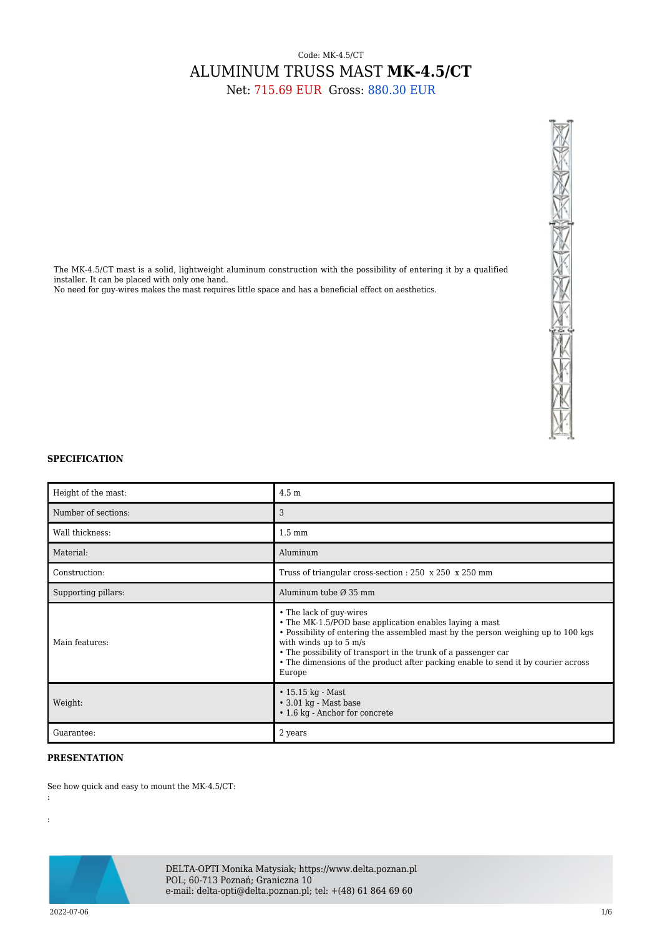## Code: MK-4.5/CT ALUMINUM TRUSS MAST **MK-4.5/CT** Net: 715.69 EUR Gross: 880.30 EUR

The MK-4.5/CT mast is a solid, lightweight aluminum construction with the possibility of entering it by a qualified installer. It can be placed with only one hand. No need for guy-wires makes the mast requires little space and has a beneficial effect on aesthetics.



## **SPECIFICATION**

| Height of the mast: | 4.5 <sub>m</sub>                                                                                                                                                                                                                                                                                                                                                   |
|---------------------|--------------------------------------------------------------------------------------------------------------------------------------------------------------------------------------------------------------------------------------------------------------------------------------------------------------------------------------------------------------------|
| Number of sections: | 3                                                                                                                                                                                                                                                                                                                                                                  |
| Wall thickness:     | $1.5 \text{ mm}$                                                                                                                                                                                                                                                                                                                                                   |
| Material:           | Aluminum                                                                                                                                                                                                                                                                                                                                                           |
| Construction:       | Truss of triangular cross-section : 250 x 250 x 250 mm                                                                                                                                                                                                                                                                                                             |
| Supporting pillars: | Aluminum tube $\varnothing$ 35 mm                                                                                                                                                                                                                                                                                                                                  |
| Main features:      | • The lack of guy-wires<br>• The MK-1.5/POD base application enables laying a mast<br>• Possibility of entering the assembled mast by the person weighing up to 100 kgs<br>with winds up to 5 m/s<br>• The possibility of transport in the trunk of a passenger car<br>• The dimensions of the product after packing enable to send it by courier across<br>Europe |
| Weight:             | $\cdot$ 15.15 kg - Mast<br>$\cdot$ 3.01 kg - Mast base<br>• 1.6 kg - Anchor for concrete                                                                                                                                                                                                                                                                           |
| Guarantee:          | 2 years                                                                                                                                                                                                                                                                                                                                                            |

## **PRESENTATION**

See how quick and easy to mount the MK-4.5/CT:



DELTA-OPTI Monika Matysiak; https://www.delta.poznan.pl POL; 60-713 Poznań; Graniczna 10 e-mail: delta-opti@delta.poznan.pl; tel: +(48) 61 864 69 60

 $2022{\cdot}07{\cdot}06$ 

:

: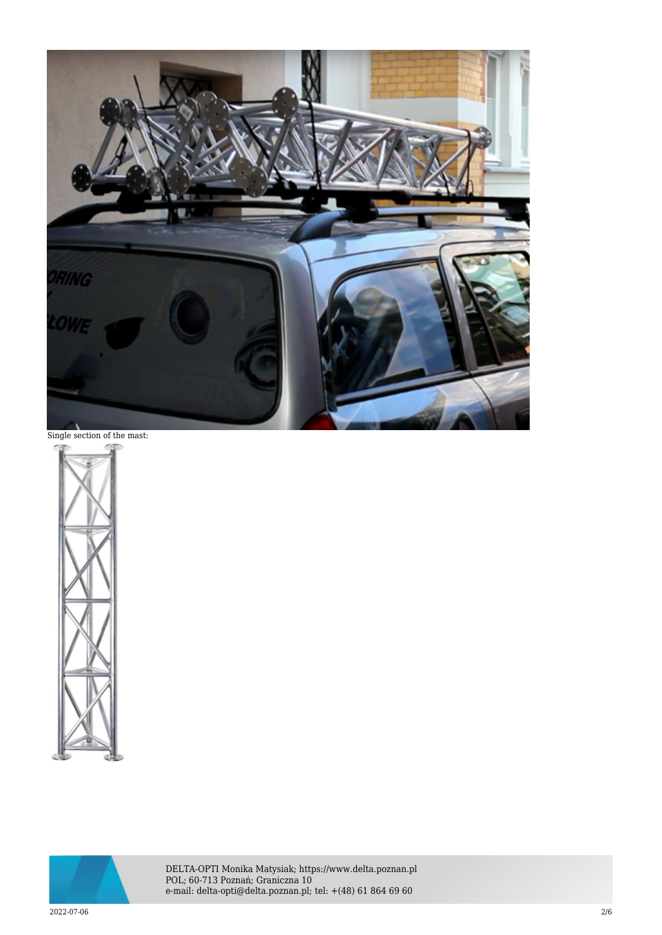

Single section of the mast:





DELTA-OPTI Monika Matysiak; https://www.delta.poznan.pl POL; 60-713 Poznań; Graniczna 10 e-mail: delta-opti@delta.poznan.pl; tel: +(48) 61 864 69 60

 $2022$ -07-06  $2/6$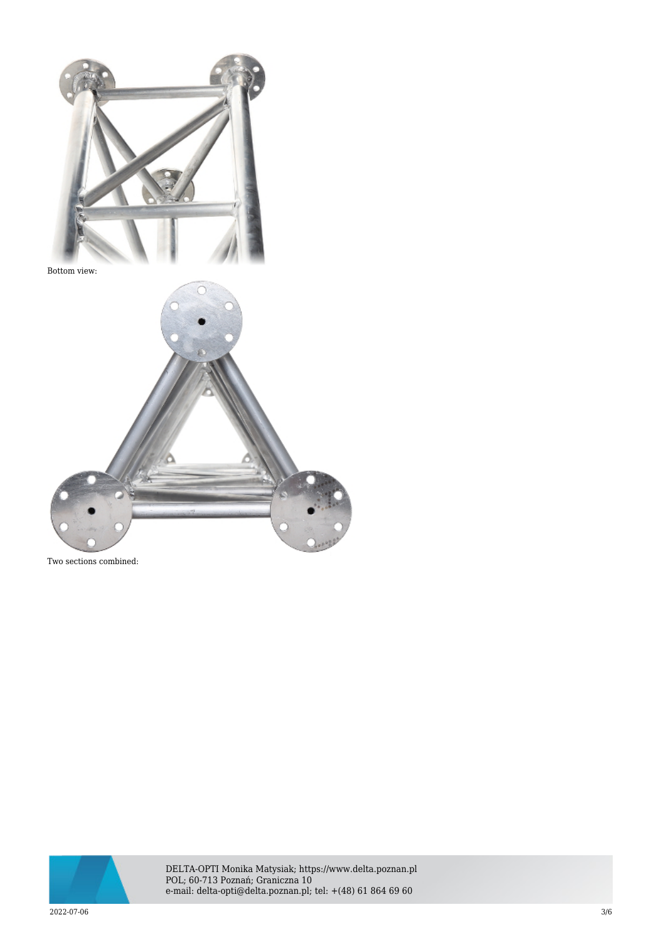

Bottom view:



Two sections combined:



DELTA-OPTI Monika Matysiak; https://www.delta.poznan.pl POL; 60-713 Poznań; Graniczna 10 e-mail: delta-opti@delta.poznan.pl; tel: +(48) 61 864 69 60

 $2022$ -07-06  $3/6$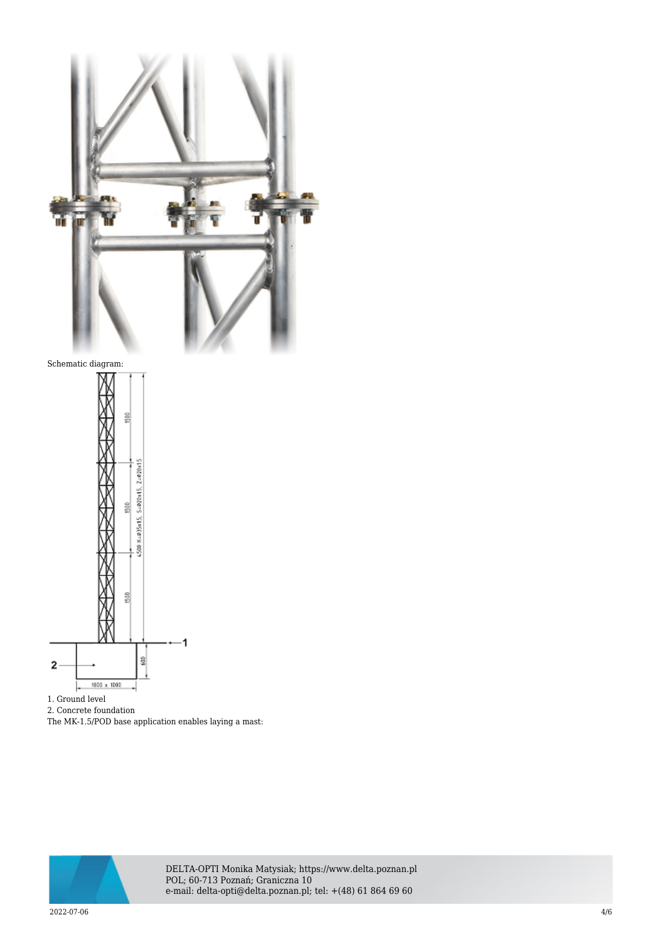

- 1. Ground level
- 2. Concrete foundation
- The MK-1.5/POD base application enables laying a mast:



DELTA-OPTI Monika Matysiak; https://www.delta.poznan.pl POL; 60-713 Poznań; Graniczna 10 e-mail: delta-opti@delta.poznan.pl; tel: +(48) 61 864 69 60

 $2022$ -07-06  $4/6$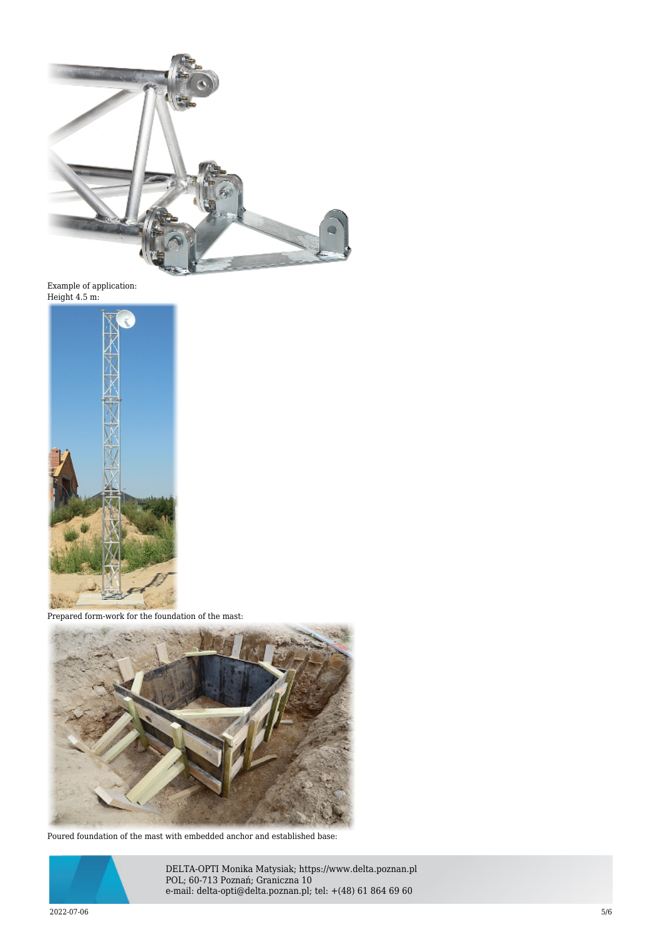

Example of application: Height 4.5 m:



Prepared form-work for the foundation of the mast:



Poured foundation of the mast with embedded anchor and established base:



DELTA-OPTI Monika Matysiak; https://www.delta.poznan.pl POL; 60-713 Poznań; Graniczna 10 e-mail: delta-opti@delta.poznan.pl; tel: +(48) 61 864 69 60

 $2022$ -07-06  $5/6$